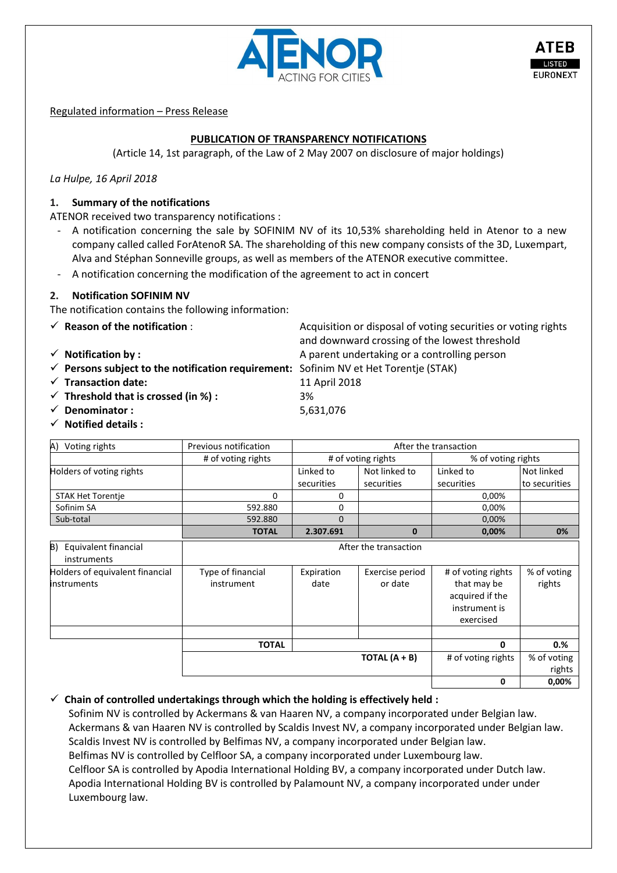

Regulated information – Press Release

# **PUBLICATION OF TRANSPARENCY NOTIFICATIONS**

(Article 14, 1st paragraph, of the Law of 2 May 2007 on disclosure of major holdings)

*La Hulpe, 16 April 2018*

### **1. Summary of the notifications**

ATENOR received two transparency notifications :

- A notification concerning the sale by SOFINIM NV of its 10,53% shareholding held in Atenor to a new company called called ForAtenoR SA. The shareholding of this new company consists of the 3D, Luxempart, Alva and Stéphan Sonneville groups, as well as members of the ATENOR executive committee.
- A notification concerning the modification of the agreement to act in concert

#### **2. Notification SOFINIM NV**

The notification contains the following information:

- 
- 
- **Persons subject to the notification requirement:** Sofinim NV et Het Torentje (STAK)
- **Transaction date:** 11 April 2018
- **Threshold that is crossed (in %) :** 3%
- **Denominator :** 5,631,076
- **Notified details :**

| Voting rights<br>A)                                   | Previous notification           | After the transaction |                            |                                                                                    |                       |
|-------------------------------------------------------|---------------------------------|-----------------------|----------------------------|------------------------------------------------------------------------------------|-----------------------|
|                                                       | # of voting rights              |                       | # of voting rights         | % of voting rights                                                                 |                       |
| Holders of voting rights                              |                                 | Linked to             | Not linked to              | Linked to                                                                          | Not linked            |
|                                                       |                                 | securities            | securities                 | securities                                                                         | to securities         |
| <b>STAK Het Torentje</b>                              | 0                               | 0                     |                            | 0,00%                                                                              |                       |
| Sofinim SA                                            | 592.880                         | 0                     |                            | 0,00%                                                                              |                       |
| Sub-total                                             | 592.880                         | $\Omega$              |                            | 0,00%                                                                              |                       |
|                                                       | <b>TOTAL</b>                    | 2.307.691             | $\bf{0}$                   | 0,00%                                                                              | 0%                    |
| Equivalent financial<br>B)<br>instruments             | After the transaction           |                       |                            |                                                                                    |                       |
| Holders of equivalent financial<br><b>instruments</b> | Type of financial<br>instrument | Expiration<br>date    | Exercise period<br>or date | # of voting rights<br>that may be<br>acquired if the<br>instrument is<br>exercised | % of voting<br>rights |
|                                                       |                                 |                       |                            |                                                                                    |                       |
|                                                       | <b>TOTAL</b>                    |                       |                            | 0                                                                                  | 0.%                   |
|                                                       |                                 |                       | TOTAL $(A + B)$            | # of voting rights                                                                 | % of voting           |
|                                                       |                                 |                       |                            |                                                                                    | rights                |
|                                                       |                                 |                       |                            | 0                                                                                  | 0,00%                 |

 $\checkmark$  Chain of controlled undertakings through which the holding is effectively held :

Sofinim NV is controlled by Ackermans & van Haaren NV, a company incorporated under Belgian law. Ackermans & van Haaren NV is controlled by Scaldis Invest NV, a company incorporated under Belgian law. Scaldis Invest NV is controlled by Belfimas NV, a company incorporated under Belgian law. Belfimas NV is controlled by Celfloor SA, a company incorporated under Luxembourg law. Celfloor SA is controlled by Apodia International Holding BV, a company incorporated under Dutch law. Apodia International Holding BV is controlled by Palamount NV, a company incorporated under under Luxembourg law.

**★ Reason of the notification** : Acquisition or disposal of voting securities or voting rights and downward crossing of the lowest threshold **√** Notification by **:** A parent undertaking or a controlling person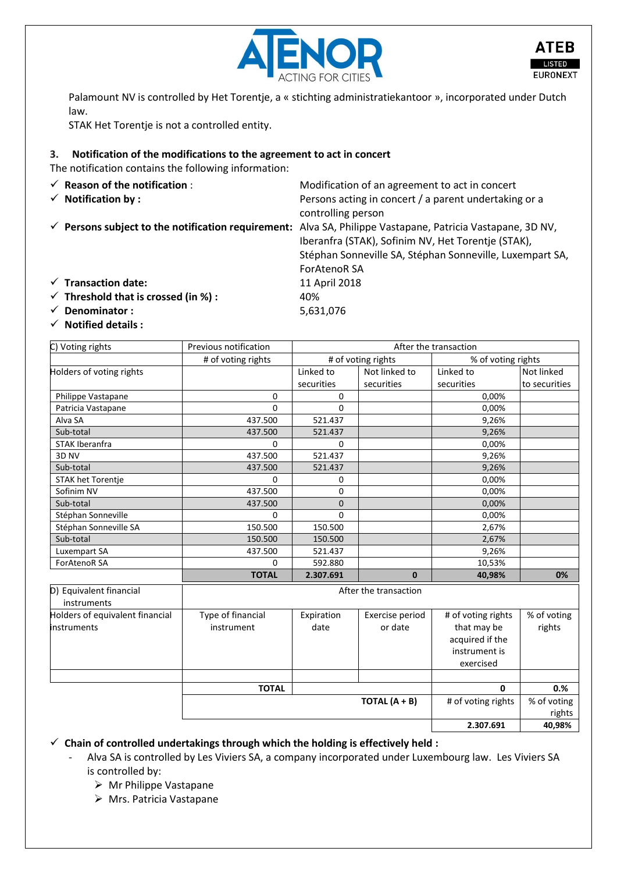

Palamount NV is controlled by Het Torentje, a « stichting administratiekantoor », incorporated under Dutch law.

STAK Het Torentje is not a controlled entity.

## **3. Notification of the modifications to the agreement to act in concert**

The notification contains the following information:

| $\checkmark$ Reason of the notification :<br>$\checkmark$ Notification by : | Modification of an agreement to act in concert<br>Persons acting in concert / a parent undertaking or a<br>controlling person                                                                                                                                  |
|-----------------------------------------------------------------------------|----------------------------------------------------------------------------------------------------------------------------------------------------------------------------------------------------------------------------------------------------------------|
|                                                                             | $\checkmark$ Persons subject to the notification requirement: Alva SA, Philippe Vastapane, Patricia Vastapane, 3D NV,<br>Iberanfra (STAK), Sofinim NV, Het Torentje (STAK),<br>Stéphan Sonneville SA, Stéphan Sonneville, Luxempart SA,<br><b>ForAtenoR SA</b> |
| $\checkmark$ Transaction date:                                              | 11 April 2018                                                                                                                                                                                                                                                  |
| $\checkmark$ Threshold that is crossed (in %) :                             | 40%                                                                                                                                                                                                                                                            |
| Denominator:                                                                | 5,631,076                                                                                                                                                                                                                                                      |

**Notified details :**

| C) Voting rights                       | Previous notification | After the transaction                    |                 |                    |               |
|----------------------------------------|-----------------------|------------------------------------------|-----------------|--------------------|---------------|
|                                        | # of voting rights    | # of voting rights<br>% of voting rights |                 |                    |               |
| Holders of voting rights               |                       | Linked to                                | Not linked to   | Linked to          | Not linked    |
|                                        |                       | securities                               | securities      | securities         | to securities |
| Philippe Vastapane                     | 0                     | 0                                        |                 | 0,00%              |               |
| Patricia Vastapane                     | $\Omega$              | $\Omega$                                 |                 | 0.00%              |               |
| Alva SA                                | 437.500               | 521.437                                  |                 | 9,26%              |               |
| Sub-total                              | 437.500               | 521.437                                  |                 | 9,26%              |               |
| STAK Iberanfra                         | $\Omega$              | 0                                        |                 | 0,00%              |               |
| 3D NV                                  | 437.500               | 521.437                                  |                 | 9,26%              |               |
| Sub-total                              | 437.500               | 521.437                                  |                 | 9,26%              |               |
| <b>STAK het Torentje</b>               | $\Omega$              | 0                                        |                 | 0,00%              |               |
| Sofinim NV                             | 437.500               | $\Omega$                                 |                 | 0,00%              |               |
| Sub-total                              | 437.500               | 0                                        |                 | 0,00%              |               |
| Stéphan Sonneville                     | $\Omega$              | 0                                        |                 | 0,00%              |               |
| Stéphan Sonneville SA                  | 150.500               | 150.500                                  |                 | 2,67%              |               |
| Sub-total                              | 150.500               | 150.500                                  |                 | 2,67%              |               |
| Luxempart SA                           | 437.500               | 521.437                                  |                 | 9,26%              |               |
| <b>ForAtenoR SA</b>                    | $\Omega$              | 592.880                                  |                 | 10,53%             |               |
|                                        | <b>TOTAL</b>          | 2.307.691                                | $\bf{0}$        | 40,98%             | 0%            |
| D) Equivalent financial<br>instruments | After the transaction |                                          |                 |                    |               |
| Holders of equivalent financial        | Type of financial     | Expiration                               | Exercise period | # of voting rights | % of voting   |
| <b>instruments</b>                     | instrument            | date                                     | or date         | that may be        | rights        |

| acquired if the<br>instrument is      | .           |
|---------------------------------------|-------------|
| exercised                             |             |
|                                       |             |
| <b>TOTAL</b><br>0                     | 0.%         |
|                                       |             |
| TOTAL $(A + B)$<br># of voting rights | % of voting |
|                                       | rights      |

**Chain of controlled undertakings through which the holding is effectively held :**

- Alva SA is controlled by Les Viviers SA, a company incorporated under Luxembourg law. Les Viviers SA is controlled by:
	- Mr Philippe Vastapane
	- Mrs. Patricia Vastapane